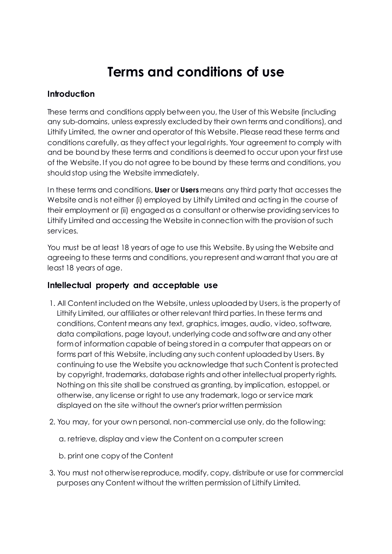# **Terms and conditions of use**

#### **Introduction**

These terms and conditions apply between you, the User of this Website (including any sub-domains, unless expressly excluded by their own terms and conditions), and Lithify Limited, the owner and operator of this Website. Please read these terms and conditions carefully, as they affect your legal rights. Your agreement to comply with and be bound by these terms and conditions is deemed to occur upon your first use of the Website. If you do not agree to be bound by these terms and conditions, you should stop using the Website immediately.

In these terms and conditions, **User** or **Users** means any third party that accesses the Website and is not either (i) employed by Lithify Limited and acting in the course of their employment or (ii) engaged as a consultant or otherwise providing services to Lithify Limited and accessing the Website in connection with the provision of such services.

You must be at least 18 years of age to use this Website. By using the Website and agreeing to these terms and conditions, you represent and warrant that you are at least 18 years of age.

## **Intellectual property and acceptable use**

- 1. All Content included on the Website, unless uploaded by Users, is the property of Lithify Limited, our affiliates or other relevant third parties. In these terms and conditions, Content means any text, graphics, images, audio, video, software, data compilations, page layout, underlying code and software and any other form of information capable of being stored in a computer that appears on or forms part of this Website, including any such content uploaded by Users. By continuing to use the Website you acknowledge that such Content is protected by copyright, trademarks, database rights and other intellectual property rights. Nothing on this site shall be construed as granting, by implication, estoppel, or otherwise, any license or right to use any trademark, logo or service mark displayed on the site without the owner's prior written permission
- 2. You may, for your own personal, non-commercial use only, do the following:

a. retrieve, display and view the Content on a computer screen

b. print one copy of the Content

3. You must not otherwise reproduce, modify, copy, distribute or use for commercial purposes any Content without the written permission of Lithify Limited.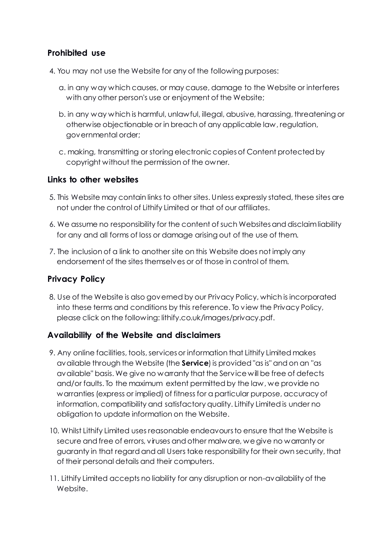## **Prohibited use**

- 4. You may not use the Website for any of the following purposes:
	- a. in any way which causes, or may cause, damage to the Website or interferes with any other person's use or enjoyment of the Website;
	- b. in any way which is harmful, unlawful, illegal, abusive, harassing, threatening or otherwise objectionable or in breach of any applicable law, regulation, governmental order;
	- c. making, transmitting or storing electronic copies of Content protected by copyright without the permission of the owner.

#### **Links to other websites**

- 5. This Website may contain links to other sites. Unless expressly stated, these sites are not under the control of Lithify Limited or that of our affiliates.
- 6. We assume no responsibility for the content of such Websites and disclaim liability for any and all forms of loss or damage arising out of the use of them.
- 7. The inclusion of a link to another site on this Website does not imply any endorsement of the sites themselves or of those in control of them.

## **Privacy Policy**

8. Use of the Website is also governed by our Privacy Policy, which is incorporated into these terms and conditions by this reference. To view the Privacy Policy, please click on the following: lithify.co.uk/images/privacy.pdf.

## **Availability of the Website and disclaimers**

- 9. Any online facilities, tools, services or information that Lithify Limited makes available through the Website (the **Service**) is provided "as is" and on an "as available" basis. We give no warranty that the Service will be free of defects and/or faults. To the maximum extent permitted by the law, we provide no warranties (express or implied) of fitness for a particular purpose, accuracy of information, compatibility and satisfactory quality. Lithify Limited is under no obligation to update information on the Website.
- 10. Whilst Lithify Limited uses reasonable endeavours to ensure that the Website is secure and free of errors, viruses and other malware, we give no warranty or guaranty in that regard and all Users take responsibility for their own security, that of their personal details and their computers.
- 11. Lithify Limited accepts no liability for any disruption or non-availability of the Website.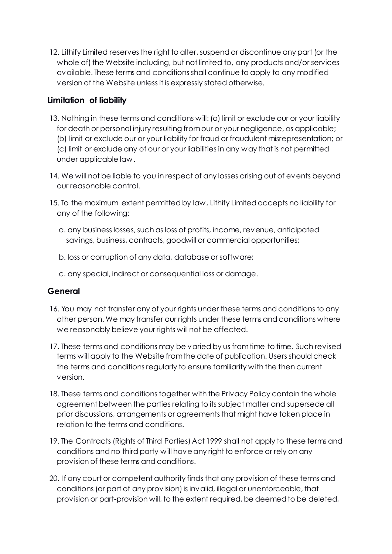12. Lithify Limited reserves the right to alter, suspend or discontinue any part (or the whole of) the Website including, but not limited to, any products and/or services available. These terms and conditions shall continue to apply to any modified version of the Website unless it is expressly stated otherwise.

## **Limitation of liability**

- 13. Nothing in these terms and conditions will: (a) limit or exclude our or your liability for death or personal injury resulting from our or your negligence, as applicable; (b) limit or exclude our or your liability for fraud or fraudulent misrepresentation; or (c) limit or exclude any of our or your liabilities in any way that is not permitted under applicable law.
- 14. We will not be liable to you in respect of any losses arising out of events beyond our reasonable control.
- 15. To the maximum extent permitted by law, Lithify Limited accepts no liability for any of the following:
	- a. any business losses, such as loss of profits, income, revenue, anticipated savings, business, contracts, goodwill or commercial opportunities;
	- b. loss or corruption of any data, database or software;
	- c. any special, indirect or consequential loss or damage.

## **General**

- 16. You may not transfer any of your rights under these terms and conditions to any other person. We may transfer our rights under these terms and conditions where we reasonably believe your rights will not be affected.
- 17. These terms and conditions may be varied by us from time to time. Such revised terms will apply to the Website from the date of publication. Users should check the terms and conditions regularly to ensure familiarity with the then current version.
- 18. These terms and conditions together with the Privacy Policy contain the whole agreement between the parties relating to its subject matter and supersede all prior discussions, arrangements or agreements that might have taken place in relation to the terms and conditions.
- 19. The Contracts (Rights of Third Parties) Act 1999 shall not apply to these terms and conditions and no third party will have any right to enforce or rely on any provision of these terms and conditions.
- 20. If any court or competent authority finds that any provision of these terms and conditions (or part of any provision) is invalid, illegal or unenforceable, that provision or part-provision will, to the extent required, be deemed to be deleted,